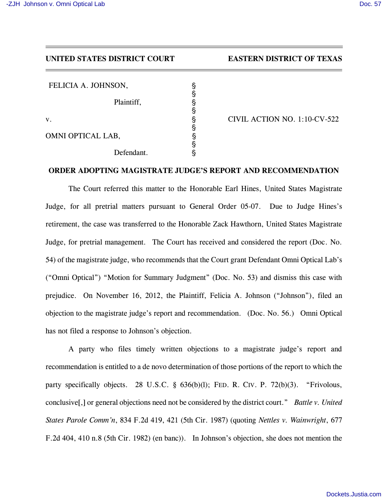## UNITED STATES DISTRICT COURT **EASTERN DISTRICT OF TEXAS**

| FELICIA A. JOHNSON, |                              |
|---------------------|------------------------------|
| Plaintiff,          |                              |
| V.                  | CIVIL ACTION NO. 1:10-CV-522 |
| OMNI OPTICAL LAB,   |                              |
| Defendant.          |                              |

## **ORDER ADOPTING MAGISTRATE JUDGE'S REPORT AND RECOMMENDATION**

The Court referred this matter to the Honorable Earl Hines, United States Magistrate Judge, for all pretrial matters pursuant to General Order 05-07. Due to Judge Hines's retirement, the case was transferred to the Honorable Zack Hawthorn, United States Magistrate Judge, for pretrial management. The Court has received and considered the report (Doc. No. 54) of the magistrate judge, who recommends that the Court grant Defendant Omni Optical Lab's ("Omni Optical") "Motion for Summary Judgment" (Doc. No. 53) and dismiss this case with prejudice. On November 16, 2012, the Plaintiff, Felicia A. Johnson ("Johnson"), filed an objection to the magistrate judge's report and recommendation. (Doc. No. 56.) Omni Optical has not filed a response to Johnson's objection.

A party who files timely written objections to a magistrate judge's report and recommendation is entitled to a de novo determination of those portions of the report to which the party specifically objects. 28 U.S.C. § 636(b)(l); FED. R. CIV. P. 72(b)(3). "Frivolous, conclusive[,] or general objections need not be considered by the district court." *Battle v. United States Parole Comm'n*, 834 F.2d 419, 421 (5th Cir. 1987) (quoting *Nettles v. Wainwright*, 677 F.2d 404, 410 n.8 (5th Cir. 1982) (en banc)). In Johnson's objection, she does not mention the